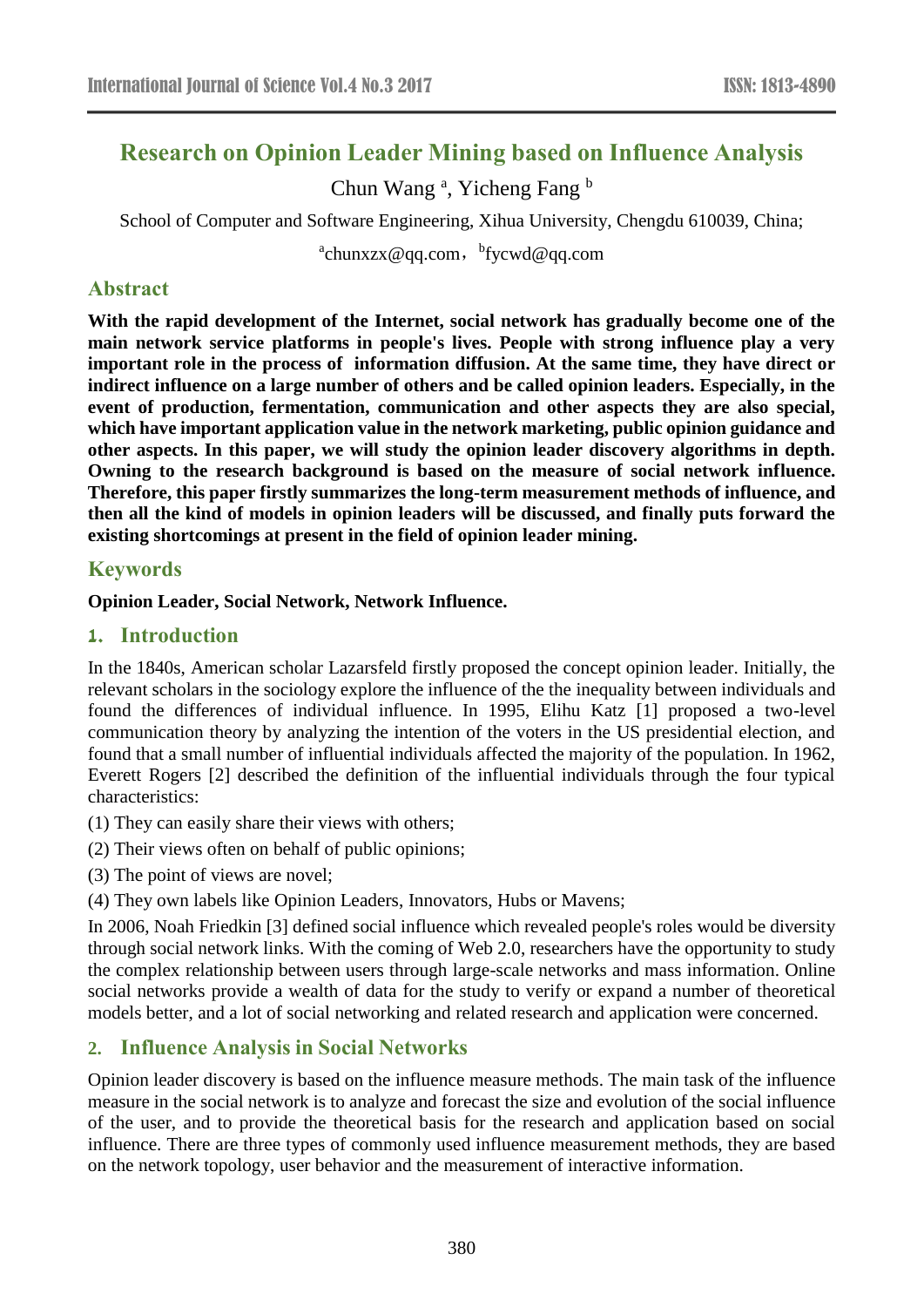# **Research on Opinion Leader Mining based on Influence Analysis**

Chun Wang<sup>a</sup>, Yicheng Fang<sup>b</sup>

School of Computer and Software Engineering, Xihua University, Chengdu 610039, China;

<sup>a</sup>chunxzx@qq.com,<sup>b</sup>fycwd@qq.com

# **Abstract**

**With the rapid development of the Internet, social network has gradually become one of the main network service platforms in people's lives. People with strong influence play a very important role in the process of information diffusion. At the same time, they have direct or indirect influence on a large number of others and be called opinion leaders. Especially, in the event of production, fermentation, communication and other aspects they are also special, which have important application value in the network marketing, public opinion guidance and other aspects. In this paper, we will study the opinion leader discovery algorithms in depth. Owning to the research background is based on the measure of social network influence. Therefore, this paper firstly summarizes the long-term measurement methods of influence, and then all the kind of models in opinion leaders will be discussed, and finally puts forward the existing shortcomings at present in the field of opinion leader mining.**

# **Keywords**

### **Opinion Leader, Social Network, Network Influence.**

### **1. Introduction**

In the 1840s, American scholar Lazarsfeld firstly proposed the concept opinion leader. Initially, the relevant scholars in the sociology explore the influence of the the inequality between individuals and found the differences of individual influence. In 1995, Elihu Katz [1] proposed a two-level communication theory by analyzing the intention of the voters in the US presidential election, and found that a small number of influential individuals affected the majority of the population. In 1962, Everett Rogers [2] described the definition of the influential individuals through the four typical characteristics:

(1) They can easily share their views with others;

(2) Their views often on behalf of public opinions;

(3) The point of views are novel;

(4) They own labels like Opinion Leaders, Innovators, Hubs or Mavens;

In 2006, Noah Friedkin [3] defined social influence which revealed people's roles would be diversity through social network links. With the coming of Web 2.0, researchers have the opportunity to study the complex relationship between users through large-scale networks and mass information. Online social networks provide a wealth of data for the study to verify or expand a number of theoretical models better, and a lot of social networking and related research and application were concerned.

# **2. Influence Analysis in Social Networks**

Opinion leader discovery is based on the influence measure methods. The main task of the influence measure in the social network is to analyze and forecast the size and evolution of the social influence of the user, and to provide the theoretical basis for the research and application based on social influence. There are three types of commonly used influence measurement methods, they are based on the network topology, user behavior and the measurement of interactive information.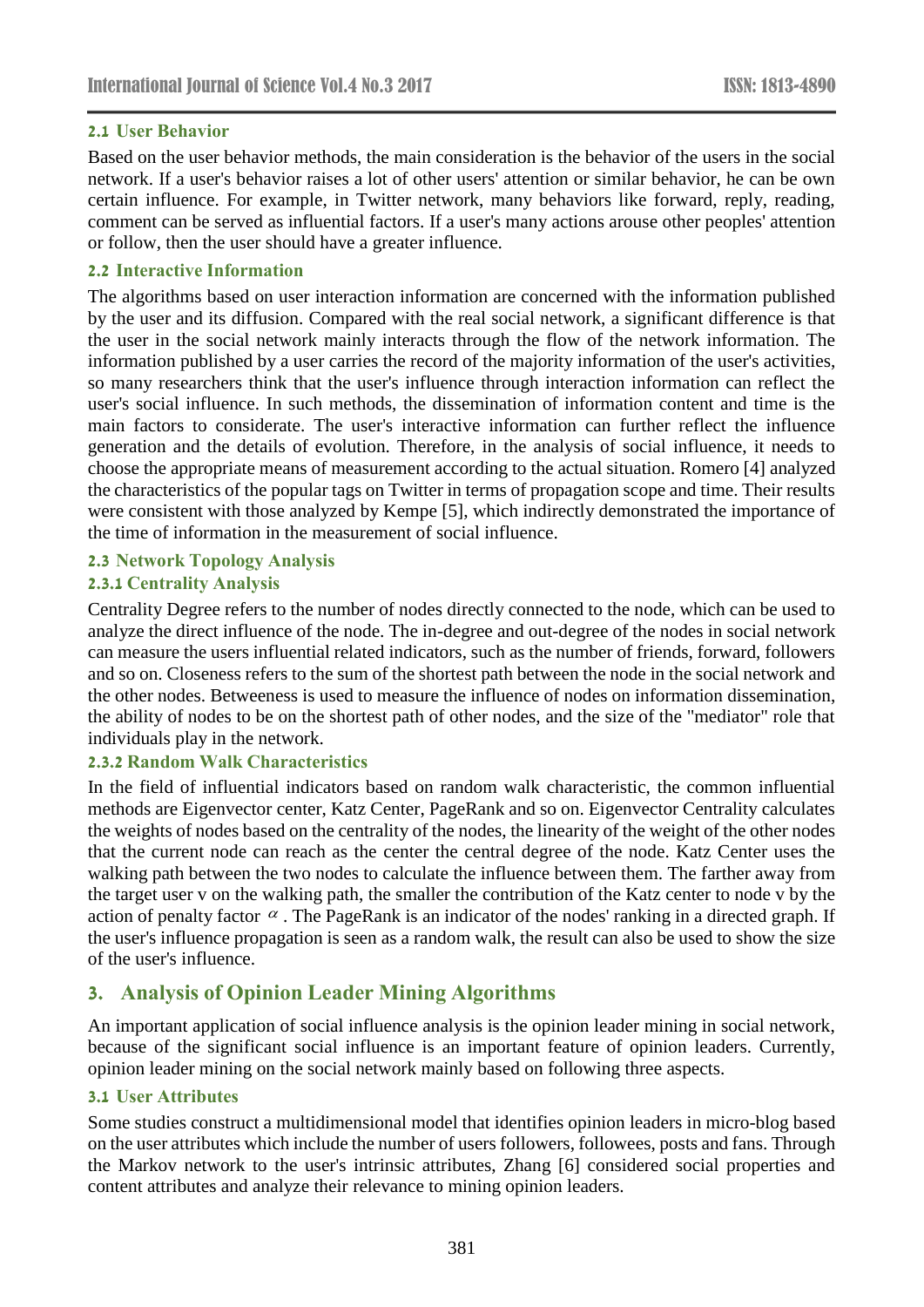### **2.1 User Behavior**

Based on the user behavior methods, the main consideration is the behavior of the users in the social network. If a user's behavior raises a lot of other users' attention or similar behavior, he can be own certain influence. For example, in Twitter network, many behaviors like forward, reply, reading, comment can be served as influential factors. If a user's many actions arouse other peoples' attention or follow, then the user should have a greater influence.

### **2.2 Interactive Information**

The algorithms based on user interaction information are concerned with the information published by the user and its diffusion. Compared with the real social network, a significant difference is that the user in the social network mainly interacts through the flow of the network information. The information published by a user carries the record of the majority information of the user's activities, so many researchers think that the user's influence through interaction information can reflect the user's social influence. In such methods, the dissemination of information content and time is the main factors to considerate. The user's interactive information can further reflect the influence generation and the details of evolution. Therefore, in the analysis of social influence, it needs to choose the appropriate means of measurement according to the actual situation. Romero [4] analyzed the characteristics of the popular tags on Twitter in terms of propagation scope and time. Their results were consistent with those analyzed by Kempe [5], which indirectly demonstrated the importance of the time of information in the measurement of social influence.

### **2.3 Network Topology Analysis**

### **2.3.1 Centrality Analysis**

Centrality Degree refers to the number of nodes directly connected to the node, which can be used to analyze the direct influence of the node. The in-degree and out-degree of the nodes in social network can measure the users influential related indicators, such as the number of friends, forward, followers and so on. Closeness refers to the sum of the shortest path between the node in the social network and the other nodes. Betweeness is used to measure the influence of nodes on information dissemination, the ability of nodes to be on the shortest path of other nodes, and the size of the "mediator" role that individuals play in the network.

### **2.3.2 Random Walk Characteristics**

In the field of influential indicators based on random walk characteristic, the common influential methods are Eigenvector center, Katz Center, PageRank and so on. Eigenvector Centrality calculates the weights of nodes based on the centrality of the nodes, the linearity of the weight of the other nodes that the current node can reach as the center the central degree of the node. Katz Center uses the walking path between the two nodes to calculate the influence between them. The farther away from the target user v on the walking path, the smaller the contribution of the Katz center to node v by the action of penalty factor  $\alpha$ . The PageRank is an indicator of the nodes' ranking in a directed graph. If the user's influence propagation is seen as a random walk, the result can also be used to show the size of the user's influence.

# **3. Analysis of Opinion Leader Mining Algorithms**

An important application of social influence analysis is the opinion leader mining in social network, because of the significant social influence is an important feature of opinion leaders. Currently, opinion leader mining on the social network mainly based on following three aspects.

### **3.1 User Attributes**

Some studies construct a multidimensional model that identifies opinion leaders in micro-blog based on the user attributes which include the number of users followers, followees, posts and fans. Through the Markov network to the user's intrinsic attributes, Zhang [6] considered social properties and content attributes and analyze their relevance to mining opinion leaders.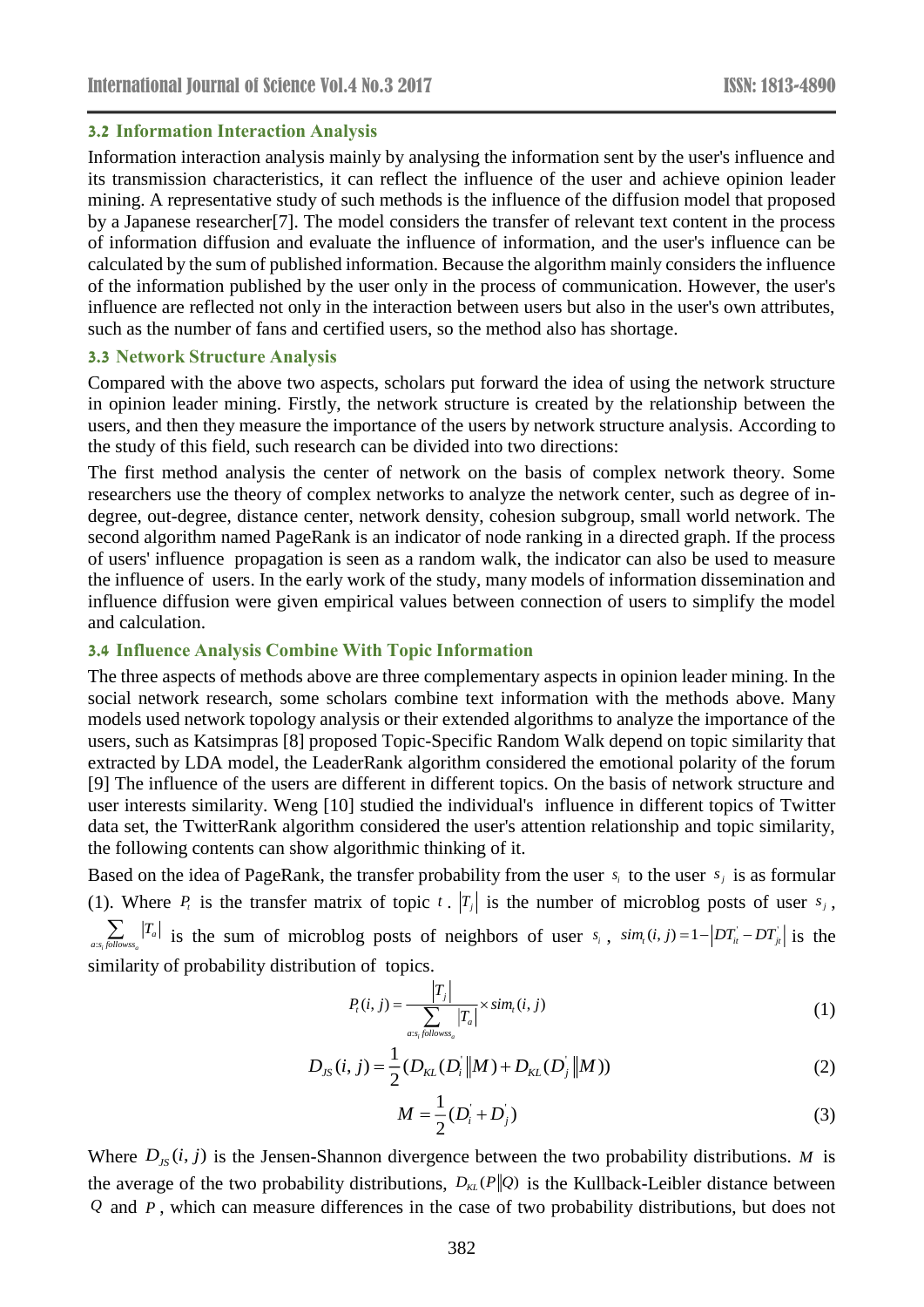#### **3.2 Information Interaction Analysis**

Information interaction analysis mainly by analysing the information sent by the user's influence and its transmission characteristics, it can reflect the influence of the user and achieve opinion leader mining. A representative study of such methods is the influence of the diffusion model that proposed by a Japanese researcher[7]. The model considers the transfer of relevant text content in the process of information diffusion and evaluate the influence of information, and the user's influence can be calculated by the sum of published information. Because the algorithm mainly considers the influence of the information published by the user only in the process of communication. However, the user's influence are reflected not only in the interaction between users but also in the user's own attributes, such as the number of fans and certified users, so the method also has shortage.

#### **3.3 Network Structure Analysis**

Compared with the above two aspects, scholars put forward the idea of using the network structure in opinion leader mining. Firstly, the network structure is created by the relationship between the users, and then they measure the importance of the users by network structure analysis. According to the study of this field, such research can be divided into two directions:

The first method analysis the center of network on the basis of complex network theory. Some researchers use the theory of complex networks to analyze the network center, such as degree of indegree, out-degree, distance center, network density, cohesion subgroup, small world network. The second algorithm named PageRank is an indicator of node ranking in a directed graph. If the process of users' influence propagation is seen as a random walk, the indicator can also be used to measure the influence of users. In the early work of the study, many models of information dissemination and influence diffusion were given empirical values between connection of users to simplify the model and calculation.

#### **3.4 Influence Analysis Combine With Topic Information**

The three aspects of methods above are three complementary aspects in opinion leader mining. In the social network research, some scholars combine text information with the methods above. Many models used network topology analysis or their extended algorithms to analyze the importance of the users, such as Katsimpras [8] proposed Topic-Specific Random Walk depend on topic similarity that extracted by LDA model, the LeaderRank algorithm considered the emotional polarity of the forum [9] The influence of the users are different in different topics. On the basis of network structure and user interests similarity. Weng [10] studied the individual's influence in different topics of Twitter data set, the TwitterRank algorithm considered the user's attention relationship and topic similarity, the following contents can show [algorithmic thinking](https://www.baidu.com/link?url=y_jLyrW6j-7j3N4qlSNQ4IIwbhPwsq_urup4IXY5UUYTNGl3iniGdL-Gn6mbrb0gbIkY1MKpFQulbv8jxR5DbijNupFP2ncoQe1RKytOAiJJvmDU2lsRxqLugfN2IqaK&wd=&eqid=d0039c78000460bb0000000358d1d073) of it.

Based on the idea of PageRank, the transfer probability from the user  $s_i$  to the user  $s_j$  is as formular (1). Where  $P_i$  is the transfer matrix of topic t.  $|T_j|$  is the number of microblog posts of user  $s_j$ ,  $\sum_{a:s_i\text{ follows}}|T_a|$  is the sum of microblog posts of neighbors of user  $s_i$ ,  $sim_i(i, j) = 1 - |DT'_i - DT'_j|$  is the similarity of probability distribution of topics.

$$
P_{i}(i, j) = \frac{|T_{j}|}{\sum_{a:s_{i}followss_{a}} |T_{a}|} \times sim_{i}(i, j)
$$
\n(1)

$$
D_{JS}(i, j) = \frac{1}{2} (D_{KL}(D_i || M) + D_{KL}(D_j || M))
$$
\n(2)

$$
M = \frac{1}{2}(D_i + D_j)
$$
 (3)

Where  $D_{JS}(i, j)$  is the Jensen-Shannon divergence between the two probability distributions. *M* is the average of the two probability distributions,  $D_{KL}(P||Q)$  is the Kullback-Leibler distance between *Q* and *P* , which can measure differences in the case of two probability distributions, but does not